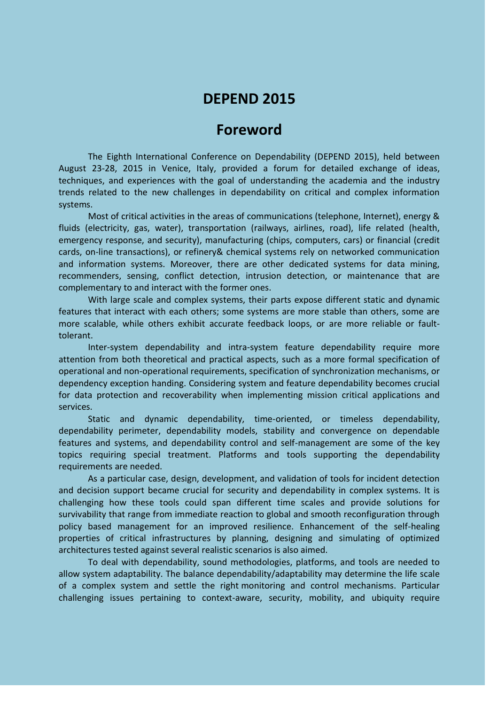# **DEPEND 2015**

## **Foreword**

The Eighth International Conference on Dependability (DEPEND 2015), held between August 23-28, 2015 in Venice, Italy, provided a forum for detailed exchange of ideas, techniques, and experiences with the goal of understanding the academia and the industry trends related to the new challenges in dependability on critical and complex information systems.

Most of critical activities in the areas of communications (telephone, Internet), energy & fluids (electricity, gas, water), transportation (railways, airlines, road), life related (health, emergency response, and security), manufacturing (chips, computers, cars) or financial (credit cards, on-line transactions), or refinery& chemical systems rely on networked communication and information systems. Moreover, there are other dedicated systems for data mining, recommenders, sensing, conflict detection, intrusion detection, or maintenance that are complementary to and interact with the former ones.

With large scale and complex systems, their parts expose different static and dynamic features that interact with each others; some systems are more stable than others, some are more scalable, while others exhibit accurate feedback loops, or are more reliable or faulttolerant.

Inter-system dependability and intra-system feature dependability require more attention from both theoretical and practical aspects, such as a more formal specification of operational and non-operational requirements, specification of synchronization mechanisms, or dependency exception handing. Considering system and feature dependability becomes crucial for data protection and recoverability when implementing mission critical applications and services.

Static and dynamic dependability, time-oriented, or timeless dependability, dependability perimeter, dependability models, stability and convergence on dependable features and systems, and dependability control and self-management are some of the key topics requiring special treatment. Platforms and tools supporting the dependability requirements are needed.

As a particular case, design, development, and validation of tools for incident detection and decision support became crucial for security and dependability in complex systems. It is challenging how these tools could span different time scales and provide solutions for survivability that range from immediate reaction to global and smooth reconfiguration through policy based management for an improved resilience. Enhancement of the self-healing properties of critical infrastructures by planning, designing and simulating of optimized architectures tested against several realistic scenarios is also aimed.

To deal with dependability, sound methodologies, platforms, and tools are needed to allow system adaptability. The balance dependability/adaptability may determine the life scale of a complex system and settle the right monitoring and control mechanisms. Particular challenging issues pertaining to context-aware, security, mobility, and ubiquity require